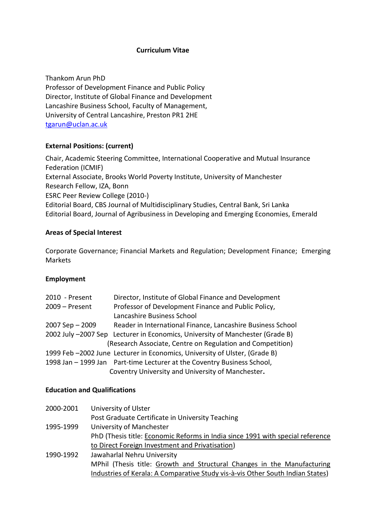### **Curriculum Vitae**

Thankom Arun PhD Professor of Development Finance and Public Policy Director, Institute of Global Finance and Development Lancashire Business School, Faculty of Management, University of Central Lancashire, Preston PR1 2HE [tgarun@uclan.ac.uk](mailto:tgarun@uclan.ac.uk)

### **External Positions: (current)**

Chair, Academic Steering Committee, International Cooperative and Mutual Insurance Federation (ICMIF) External Associate, Brooks World Poverty Institute, University of Manchester Research Fellow, IZA, Bonn ESRC Peer Review College (2010-) Editorial Board, CBS Journal of Multidisciplinary Studies, Central Bank, Sri Lanka Editorial Board, Journal of Agribusiness in Developing and Emerging Economies, Emerald

### **Areas of Special Interest**

Corporate Governance; Financial Markets and Regulation; Development Finance; Emerging Markets

#### **Employment**

| 2010 - Present   | Director, Institute of Global Finance and Development                         |
|------------------|-------------------------------------------------------------------------------|
| $2009 -$ Present | Professor of Development Finance and Public Policy,                           |
|                  | Lancashire Business School                                                    |
| 2007 Sep - 2009  | Reader in International Finance, Lancashire Business School                   |
|                  | 2002 July -2007 Sep Lecturer in Economics, University of Manchester (Grade B) |
|                  | (Research Associate, Centre on Regulation and Competition)                    |
|                  | 1999 Feb -2002 June Lecturer in Economics, University of Ulster, (Grade B)    |
|                  | 1998 Jan - 1999 Jan Part-time Lecturer at the Coventry Business School,       |
|                  | Coventry University and University of Manchester.                             |

#### **Education and Qualifications**

| 2000-2001 | University of Ulster                                                           |
|-----------|--------------------------------------------------------------------------------|
|           | Post Graduate Certificate in University Teaching                               |
| 1995-1999 | University of Manchester                                                       |
|           | PhD (Thesis title: Economic Reforms in India since 1991 with special reference |
|           | to Direct Foreign Investment and Privatisation)                                |
| 1990-1992 | Jawaharlal Nehru University                                                    |
|           | MPhil (Thesis title: Growth and Structural Changes in the Manufacturing        |
|           | Industries of Kerala: A Comparative Study vis-à-vis Other South Indian States) |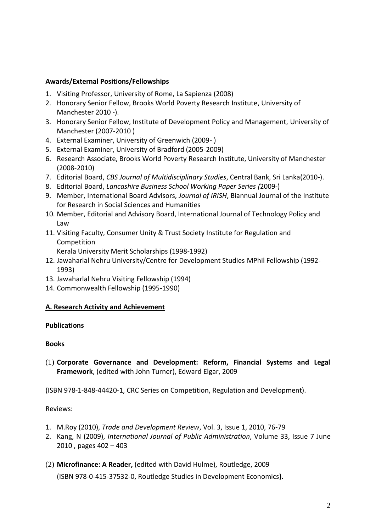### **Awards/External Positions/Fellowships**

- 1. Visiting Professor, University of Rome, La Sapienza (2008)
- 2. Honorary Senior Fellow, Brooks World Poverty Research Institute, University of Manchester 2010 -).
- 3. Honorary Senior Fellow, Institute of Development Policy and Management, University of Manchester (2007-2010 )
- 4. External Examiner, University of Greenwich (2009- )
- 5. External Examiner, University of Bradford (2005-2009)
- 6. Research Associate, Brooks World Poverty Research Institute, University of Manchester (2008-2010)
- 7. Editorial Board, *CBS Journal of Multidisciplinary Studies*, Central Bank, Sri Lanka(2010-).
- 8. Editorial Board, *Lancashire Business School Working Paper Series (*2009-)
- 9. Member, International Board Advisors, *Journal of IRISH*, Biannual Journal of the Institute for Research in Social Sciences and Humanities
- 10. Member, Editorial and Advisory Board, International Journal of Technology Policy and Law
- 11. Visiting Faculty, Consumer Unity & Trust Society Institute for Regulation and Competition

Kerala University Merit Scholarships (1998-1992)

- 12. Jawaharlal Nehru University/Centre for Development Studies MPhil Fellowship (1992- 1993)
- 13. Jawaharlal Nehru Visiting Fellowship (1994)
- 14. Commonwealth Fellowship (1995-1990)

#### **A. Research Activity and Achievement**

#### **Publications**

#### **Books**

(1) **Corporate Governance and Development: Reform, Financial Systems and Legal Framework**, (edited with John Turner), Edward Elgar, 2009

(ISBN 978-1-848-44420-1, CRC Series on Competition, Regulation and Development).

Reviews:

- 1. M.Roy (2010), *Trade and Development Review*, Vol. 3, Issue 1, 2010, 76-79
- 2. Kang, N (2009), *[International Journal of Public Administration](http://www.informaworld.com/smpp/title~db=all~content=t713597261)*, Volume [33,](http://www.informaworld.com/smpp/title~db=all~content=t713597261~tab=issueslist~branches=33#v33) Issue [7 J](http://www.informaworld.com/smpp/title~db=all~content=g922547730)une 2010 , pages 402 – 403
- (2) **Microfinance: A Reader,** (edited with David Hulme), Routledge, 2009 (ISBN 978-0-415-37532-0, [Routledge Studies in Development Economics](http://www.routledge.com/books/series/Routledge_Studies_in_Development_Economics)**).**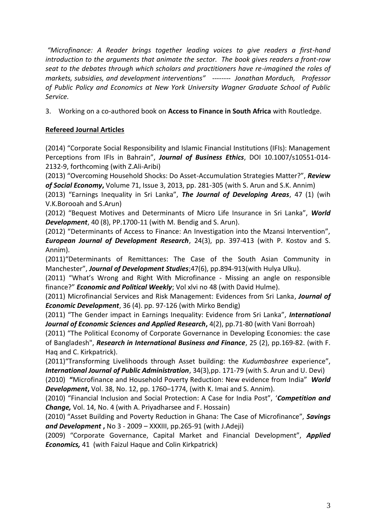*"Microfinance: A Reader brings together leading voices to give readers a first-hand introduction to the arguments that animate the sector. The book gives readers a front-row seat to the debates through which scholars and practitioners have re-imagined the roles of markets, subsidies, and development interventions" -------- Jonathan Morduch, Professor of Public Policy and Economics at New York University Wagner Graduate School of Public Service.*

3. Working on a co-authored book on **Access to Finance in South Africa** with Routledge.

# **Refereed Journal Articles**

(2014) "Corporate Social Responsibility and Islamic Financial Institutions (IFIs): Management Perceptions from IFIs in Bahrain", *Journal of Business Ethics*, DOI 10.1007/s10551-014- 2132-9, forthcoming (with Z.Ali-Aribi)

(2013) "Overcoming Household Shocks: Do Asset-Accumulation Strategies Matter?", *Review of Social Economy***,** Volume 71, Issue 3, 2013, pp. 281-305 (with S. Arun and S.K. Annim)

(2013) "Earnings Inequality in Sri Lanka", *The Journal of Developing Areas*, 47 (1) (wih V.K.Borooah and S.Arun)

(2012) "Bequest Motives and Determinants of Micro Life Insurance in Sri Lanka", *World Development*, 40 (8), PP.1700-11 (with M. Bendig and S. Arun).

(2012) "Determinants of Access to Finance: An Investigation into the Mzansi Intervention", *European Journal of Development Research*, 24(3), pp. 397-413 (with P. Kostov and S. Annim).

(2011)"Determinants of Remittances: The Case of the South Asian Community in Manchester", *Journal of Development Studies*;47(6), pp.894-913(with Hulya Ulku).

(2011) "What's Wrong and Right With Microfinance - Missing an angle on responsible finance?" *Economic and Political Weekly*; Vol xlvi no 48 (with David Hulme).

(2011) Microfinancial Services and Risk Management: Evidences from Sri Lanka, *Journal of Economic Development*, 36 (4). pp. 97-126 (with Mirko Bendig)

(2011) "The Gender impact in Earnings Inequality: Evidence from Sri Lanka", *International Journal of Economic Sciences and Applied Research***,** 4(2), pp.71-80 (with Vani Borroah)

(2011) "The Political Economy of Corporate Governance in Developing Economies: the case of Bangladesh", *Research in International Business and Finance*, 25 (2), pp.169-82. (with F. Haq and C. Kirkpatrick).

(2011)"Transforming Livelihoods through Asset building: the *Kudumbashree* experience", *International Journal of Public Administration*, 34(3),pp. 171-79 (with S. Arun and U. Devi)

(2010) **"**Microfinance and Household Poverty Reduction: New evidence from India"*World Development***,** Vol. 38, No. 12, pp. 1760–1774, (with K. Imai and S. Annim).

(2010) "Financial Inclusion and Social Protection: A Case for India Post", '*Competition and Change,* Vol. 14, No. 4 (with A. Priyadharsee and F. Hossain)

(2010) "Asset Building and Poverty Reduction in Ghana: The Case of Microfinance", *Savings and Development* **,** No 3 - 2009 – XXXIII, pp.265-91 (with J.Adeji)

(2009) "Corporate Governance, Capital Market and Financial Development", *Applied Economics,* 41 (with Faizul Haque and Colin Kirkpatrick)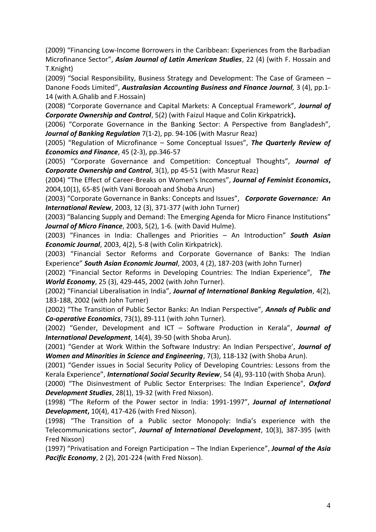(2009) "[Financing Low-Income Borrowers in the Caribbean: Experiences from the Barbadian](http://www.ajlas.org/v2006/paper/2009vol22no402.pdf)  [Microfinance Sector](http://www.ajlas.org/v2006/paper/2009vol22no402.pdf)", *Asian Journal of Latin American Studies*, 22 (4) (with F. Hossain and T.Knight)

(2009) "Social Responsibility, Business Strategy and Development: The Case of Grameen – Danone Foods Limited", *Australasian Accounting Business and Finance Journal,* 3 (4), pp.1- 14 (with A.Ghalib and F.Hossain)

(2008) "Corporate Governance and Capital Markets: A Conceptual Framework", *Journal of Corporate Ownership and Control*, 5(2) (with Faizul Haque and Colin Kirkpatrick**).**

(2006) "Corporate Governance in the Banking Sector: A Perspective from Bangladesh", *Journal of Banking Regulation* 7(1-2), pp. 94-106 (with Masrur Reaz)

(2005) "Regulation of Microfinance – Some Conceptual Issues", *The Quarterly Review of Economics and Finance*, 45 (2-3), pp.346-57

(2005) "Corporate Governance and Competition: Conceptual Thoughts", *Journal of Corporate Ownership and Control*, 3(1), pp 45-51 (with Masrur Reaz)

(2004) "The Effect of Career-Breaks on Women's Incomes", *Journal of Feminist Economics***,** 2004,10(1), 65-85 (with Vani Borooah and Shoba Arun)

(2003) "Corporate Governance in Banks: Concepts and Issues", *Corporate Governance: An International Review*, 2003, 12 (3), 371-377 (with John Turner)

(2003) "Balancing Supply and Demand: The Emerging Agenda for Micro Finance Institutions" *Journal of Micro Finance*, 2003, 5(2), 1-6. (with David Hulme).

(2003) "Finances in India: Challenges and Priorities – An Introduction" *South Asian Economic Journal*, 2003, 4(2), 5-8 (with Colin Kirkpatrick).

(2003) "Financial Sector Reforms and Corporate Governance of Banks: The Indian Experience" *South Asian Economic Journal*, 2003, 4 (2), 187-203 (with John Turner)

(2002) "Financial Sector Reforms in Developing Countries: The Indian Experience", *The World Economy*, 25 (3), 429-445, 2002 (with John Turner).

(2002) "Financial Liberalisation in India", *Journal of International Banking Regulation*, 4(2), 183-188, 2002 (with John Turner)

(2002) "The Transition of Public Sector Banks: An Indian Perspective", *Annals of Public and Co-operative Economics*, 73(1), 89-111 (with John Turner).

(2002) "Gender, Development and ICT – Software Production in Kerala", *Journal of International Development*, 14(4), 39-50 (with Shoba Arun).

(2001) "Gender at Work Within the Software Industry: An Indian Perspective', *Journal of Women and Minorities in Science and Engineering*, 7(3), 118-132 (with Shoba Arun).

(2001) "Gender issues in Social Security Policy of Developing Countries: Lessons from the Kerala Experience", *International Social Security Review*, 54 (4), 93-110 (with Shoba Arun).

(2000) "The Disinvestment of Public Sector Enterprises: The Indian Experience", *Oxford Development Studies*, 28(1), 19-32 (with Fred Nixson).

(1998) "The Reform of the Power sector in India: 1991-1997", *Journal of International Development***,** 10(4), 417-426 (with Fred Nixson).

(1998) "The Transition of a Public sector Monopoly: India's experience with the Telecommunications sector", *Journal of International Development*, 10(3), 387-395 (with Fred Nixson)

(1997) "Privatisation and Foreign Participation – The Indian Experience", *Journal of the Asia Pacific Economy*, 2 (2), 201-224 (with Fred Nixson).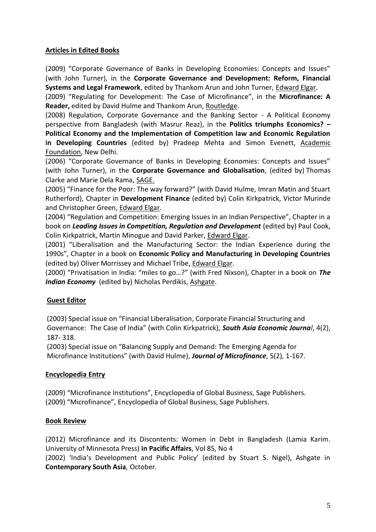## **Articles in Edited Books**

(2009) "Corporate Governance of Banks in Developing Economies: Concepts and Issues" (with John Turner), in the **Corporate Governance and Development: Reform, Financial Systems and Legal Framework**, edited by Thankom Arun and John Turner, Edward Elgar.

(2009) "Regulating for Development: The Case of Microfinance", in the **Microfinance: A Reader,** edited by David Hulme and Thankom Arun, Routledge.

(2008) Regulation, Corporate Governance and the Banking Sector - A Political Economy perspective from Bangladesh (with Masrur Reaz), in the **Politics triumphs Economics? – Political Economy and the Implementation of Competition law and Economic Regulation in Developing Countries** (edited by) Pradeep Mehta and Simon Evenett, Academic Foundation, New Delhi.

(2006) "Corporate Governance of Banks in Developing Economies: Concepts and Issues" (with John Turner), in the **Corporate Governance and Globalisation**, (edited by) Thomas Clarke and Marie Dela Rama, SAGE.

(2005) "Finance for the Poor: The way forward?" (with David Hulme, Imran Matin and Stuart Rutherford), Chapter in **Development Finance** (edited by) Colin Kirkpatrick, Victor Murinde and Christopher Green, Edward Elgar.

(2004) "Regulation and Competition: Emerging Issues in an Indian Perspective", Chapter in a book on *Leading Issues in Competition, Regulation and Development* (edited by) Paul Cook, Colin Kirkpatrick, Martin Minogue and David Parker, Edward Elgar.

(2001) "Liberalisation and the Manufacturing Sector: the Indian Experience during the 1990s", Chapter in a book on **Economic Policy and Manufacturing in Developing Countries** (edited by) Oliver Morrissey and Michael Tribe, Edward Elgar.

(2000) "Privatisation in India: "miles to go…?" (with Fred Nixson), Chapter in a book on *The Indian Economy* (edited by) Nicholas Perdikis, Ashgate.

## **Guest Editor**

(2003) Special issue on "Financial Liberalisation, Corporate Financial Structuring and Governance: The Case of India" (with Colin Kirkpatrick), *South Asia Economic Journal*, 4(2), 187- 318.

(2003) Special issue on "Balancing Supply and Demand: The Emerging Agenda for Microfinance Institutions" (with David Hulme), *Journal of Microfinance*, 5(2), 1-167.

## **Encyclopedia Entry**

(2009) "Microfinance Institutions", Encyclopedia of Global Business, Sage Publishers. (2009) "Microfinance", Encyclopedia of Global Business, Sage Publishers.

## **Book Review**

(2012) Microfinance and its Discontents: Women in Debt in Bangladesh (Lamia Karim. University of Minnesota Press) **in Pacific Affairs**, Vol 85, No 4

(2002) 'India's Development and Public Policy' (edited by Stuart S. Nigel), Ashgate in **Contemporary South Asia***,* October.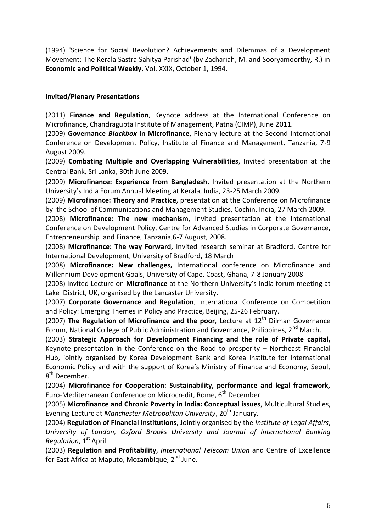(1994) 'Science for Social Revolution? Achievements and Dilemmas of a Development Movement: The Kerala Sastra Sahitya Parishad' (by Zachariah, M. and Sooryamoorthy, R.) in **Economic and Political Weekly**, Vol. XXIX, October 1, 1994.

### **Invited/Plenary Presentations**

(2011) **Finance and Regulation**, Keynote address at the International Conference on Microfinance, Chandragupta Institute of Management, Patna (CIMP), June 2011.

(2009) **Governance** *Blackbox* **in Microfinance**, Plenary lecture at the Second International Conference on Development Policy, Institute of Finance and Management, Tanzania, 7-9 August 2009.

(2009) **Combating Multiple and Overlapping Vulnerabilities**, Invited presentation at the Central Bank, Sri Lanka, 30th June 2009.

(2009) **Microfinance: Experience from Bangladesh**, Invited presentation at the Northern University's India Forum Annual Meeting at Kerala, India, 23-25 March 2009.

(2009) **Microfinance: Theory and Practice**, presentation at the Conference on Microfinance by the School of Communications and Management Studies, Cochin, India, 27 March 2009.

(2008) **Microfinance: The new mechanism**, Invited presentation at the International Conference on Development Policy, Centre for Advanced Studies in Corporate Governance, Entrepreneurship and Finance, Tanzania,6-7 August, 2008.

(2008) **Microfinance: The way Forward,** Invited research seminar at Bradford, Centre for International Development, University of Bradford, 18 March

(2008) **Microfinance: New challenges,** International conference on Microfinance and Millennium Development Goals, University of Cape, Coast, Ghana, 7-8 January 2008

(2008) Invited Lecture on **Microfinance** at the Northern University's India forum meeting at Lake District, UK, organised by the Lancaster University.

(2007) **Corporate Governance and Regulation**, International Conference on Competition and Policy: Emerging Themes in Policy and Practice, Beijing, 25-26 February.

(2007) **The Regulation of Microfinance and the poor**, Lecture at 12<sup>th</sup> Dilman Governance Forum, National College of Public Administration and Governance, Philippines, 2<sup>nd</sup> March.

(2003) **Strategic Approach for Development Financing and the role of Private capital,**  Keynote presentation in the Conference on the Road to prosperity – Northeast Financial Hub, jointly organised by Korea Development Bank and Korea Institute for International Economic Policy and with the support of Korea's Ministry of Finance and Economy, Seoul, 8<sup>th</sup> December.

(2004) **Microfinance for Cooperation: Sustainability, performance and legal framework,**  Euro-Mediterranean Conference on Microcredit, Rome, 6<sup>th</sup> December

(2005) **Microfinance and Chronic Poverty in India: Conceptual issues**, Multicultural Studies, Evening Lecture at *Manchester Metropolitan University*, 20<sup>th</sup> January.

(2004) **Regulation of Financial Institutions**, Jointly organised by the *Institute of Legal Affairs*, *University of London, Oxford Brooks University and Journal of International Banking Regulation*, 1<sup>st</sup> April.

(2003) **Regulation and Profitability**, *International Telecom Union* and Centre of Excellence for East Africa at Maputo, Mozambique,  $2<sup>nd</sup>$  June.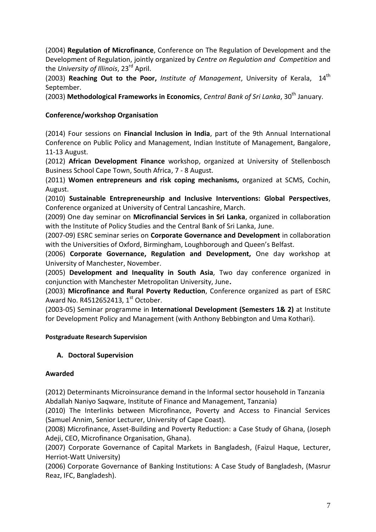(2004) **Regulation of Microfinance**, Conference on The Regulation of Development and the Development of Regulation, jointly organized by *Centre on Regulation and Competition* and the *University of Illinois*, 23rd April.

(2003) Reaching Out to the Poor, Institute of Management, University of Kerala, 14<sup>th</sup> September.

(2003) Methodological Frameworks in Economics, *Central Bank of Sri Lanka*, 30<sup>th</sup> January.

# **Conference/workshop Organisation**

(2014) Four sessions on **Financial Inclusion in India**, part of the 9th Annual International Conference on Public Policy and Management, Indian Institute of Management, Bangalore, 11-13 August.

(2012) **African Development Finance** workshop, organized at University of Stellenbosch Business School Cape Town, South Africa, 7 - 8 August.

(2011) **Women entrepreneurs and risk coping mechanisms,** organized at SCMS, Cochin, August.

(2010) **Sustainable Entrepreneurship and Inclusive Interventions: Global Perspectives**, Conference organized at University of Central Lancashire, March.

(2009) One day seminar on **Microfinancial Services in Sri Lanka**, organized in collaboration with the Institute of Policy Studies and the Central Bank of Sri Lanka, June.

(2007-09) ESRC seminar series on **Corporate Governance and Development** in collaboration with the Universities of Oxford, Birmingham, Loughborough and Queen's Belfast.

(2006) **Corporate Governance, Regulation and Development,** One day workshop at University of Manchester, November.

(2005) **Development and Inequality in South Asia***,* Two day conference organized in conjunction with Manchester Metropolitan University, June**.**

(2003) **Microfinance and Rural Poverty Reduction**, Conference organized as part of ESRC Award No. R4512652413,  $1<sup>st</sup>$  October.

(2003-05) Seminar programme in **International Development (Semesters 1& 2)** at Institute for Development Policy and Management (with Anthony Bebbington and Uma Kothari).

## **Postgraduate Research Supervision**

## **A. Doctoral Supervision**

## **Awarded**

(2012) Determinants Microinsurance demand in the Informal sector household in Tanzania Abdallah Naniyo Saqware, Institute of Finance and Management, Tanzania)

(2010) The Interlinks between Microfinance, Poverty and Access to Financial Services (Samuel Annim, Senior Lecturer, University of Cape Coast).

(2008) Microfinance, Asset-Building and Poverty Reduction: a Case Study of Ghana, (Joseph Adeji, CEO, Microfinance Organisation, Ghana).

(2007) Corporate Governance of Capital Markets in Bangladesh, (Faizul Haque, Lecturer, Herriot-Watt University)

(2006) Corporate Governance of Banking Institutions: A Case Study of Bangladesh, (Masrur Reaz, IFC, Bangladesh).